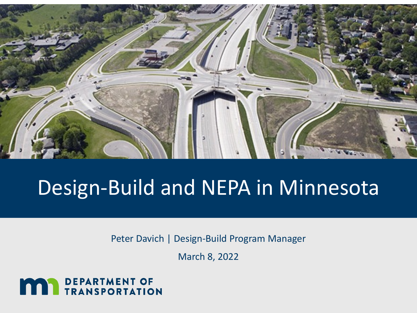

# Design-Build and NEPA in Minnesota

Peter Davich | Design-Build Program Manager

March 8, 2022

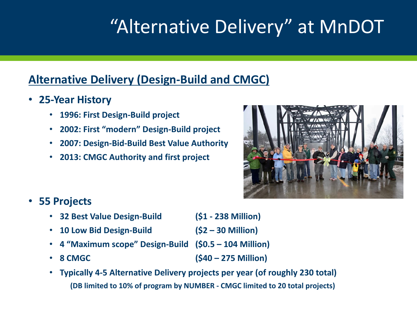# "Alternative Delivery" at MnDOT

### **Alternative Delivery (Design-Build and CMGC)**

- **25-Year History**
	- **1996: First Design-Build project**
	- **2002: First "modern" Design-Build project**
	- **2007: Design-Bid-Build Best Value Authority**
	- **2013: CMGC Authority and first project**



- **55 Projects**
	- **32 Best Value Design-Build (\$1 - 238 Million)**
	- **10 Low Bid Design-Build (\$2 – 30 Million)**
	- **4 "Maximum scope" Design-Build (\$0.5 – 104 Million)**
	-

• **8 CMGC (\$40 – 275 Million)**

• **Typically 4-5 Alternative Delivery projects per year (of roughly 230 total) (DB limited to 10% of program by NUMBER - CMGC limited to 20 total projects)**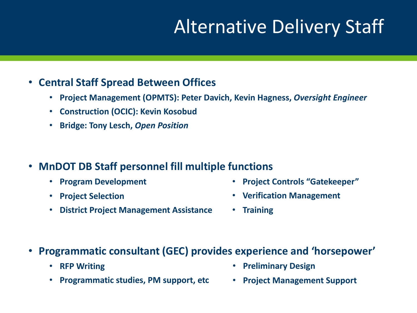## Alternative Delivery Staff

#### • **Central Staff Spread Between Offices**

- **Project Management (OPMTS): Peter Davich, Kevin Hagness,** *Oversight Engineer*
- **Construction (OCIC): Kevin Kosobud**
- **Bridge: Tony Lesch,** *Open Position*
- **MnDOT DB Staff personnel fill multiple functions**
	- **Program Development**
	- **Project Selection**
	- **District Project Management Assistance**
- **Project Controls "Gatekeeper"**
- **Verification Management**
- **Training**
- **Programmatic consultant (GEC) provides experience and 'horsepower'**
	- **RFP Writing**
	- **Programmatic studies, PM support, etc**
- **Preliminary Design**
- **Project Management Support**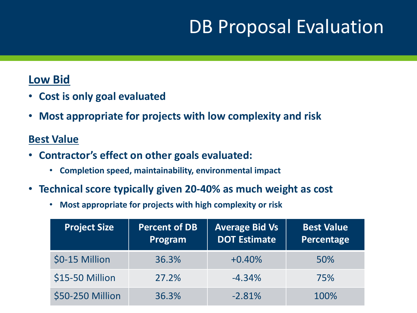### DB Proposal Evaluation

#### **Low Bid**

- **Cost is only goal evaluated**
- **Most appropriate for projects with low complexity and risk**

#### **Best Value**

- **Contractor's effect on other goals evaluated:**
	- **Completion speed, maintainability, environmental impact**
- **Technical score typically given 20-40% as much weight as cost**
	- **Most appropriate for projects with high complexity or risk**

| <b>Project Size</b> | <b>Percent of DB</b><br><b>Program</b> | <b>Average Bid Vs</b><br><b>DOT Estimate</b> | <b>Best Value</b><br>Percentage |
|---------------------|----------------------------------------|----------------------------------------------|---------------------------------|
| \$0-15 Million      | 36.3%                                  | $+0.40%$                                     | 50%                             |
| \$15-50 Million     | 27.2%                                  | $-4.34%$                                     | 75%                             |
| \$50-250 Million    | 36.3%                                  | $-2.81%$                                     | 100%                            |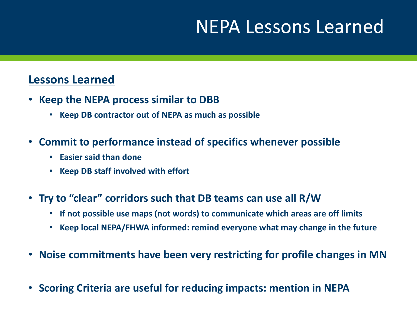### NEPA Lessons Learned

#### **Lessons Learned**

- **Keep the NEPA process similar to DBB**
	- **Keep DB contractor out of NEPA as much as possible**
- **Commit to performance instead of specifics whenever possible**
	- **Easier said than done**
	- **Keep DB staff involved with effort**
- **Try to "clear" corridors such that DB teams can use all R/W**
	- **If not possible use maps (not words) to communicate which areas are off limits**
	- **Keep local NEPA/FHWA informed: remind everyone what may change in the future**
- **Noise commitments have been very restricting for profile changes in MN**
- **Scoring Criteria are useful for reducing impacts: mention in NEPA**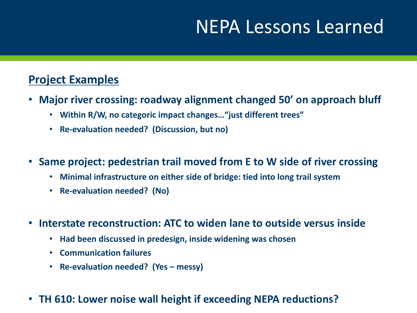### NEPA Lessons Learned

### **Project Examples**

- **Major river crossing: roadway alignment changed 50' on approach bluff**
	- **Within R/W, no categoric impact changes…"just different trees"**
	- **Re-evaluation needed? (Discussion, but no)**
- **Same project: pedestrian trail moved from E to W side of river crossing**
	- **Minimal infrastructure on either side of bridge: tied into long trail system**
	- **Re-evaluation needed? (No)**
- **Interstate reconstruction: ATC to widen lane to outside versus inside**
	- **Had been discussed in predesign, inside widening was chosen**
	- **Communication failures**
	- **Re-evaluation needed? (Yes – messy)**
- **TH 610: Lower noise wall height if exceeding NEPA reductions?**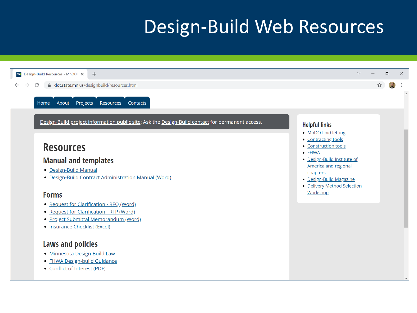### Design-Build Web Resources

| m Design-Build Resources - MnDOT X<br>$+$                                                        | $\vee$                                                 | O |  |
|--------------------------------------------------------------------------------------------------|--------------------------------------------------------|---|--|
| dot.state.mn.us/designbuild/resources.html<br>C<br>$\rightarrow$                                 |                                                        |   |  |
|                                                                                                  |                                                        |   |  |
| About Projects Resources Contacts<br>Home                                                        |                                                        |   |  |
| Design-Build project information public site: Ask the Design-Build contact for permanent access. |                                                        |   |  |
|                                                                                                  | <b>Helpful links</b>                                   |   |  |
|                                                                                                  | • MnDOT bid letting                                    |   |  |
|                                                                                                  | • Contracting tools<br>• Construction tools            |   |  |
| <b>Resources</b>                                                                                 | $\bullet$ FHWA                                         |   |  |
| <b>Manual and templates</b>                                                                      | • Design-Build Institute of                            |   |  |
| • Design-Build Manual                                                                            | <b>America and regional</b>                            |   |  |
| • Design-Build Contract Administration Manual (Word)                                             | chapters                                               |   |  |
|                                                                                                  | • Design-Build Magazine<br>• Delivery Method Selection |   |  |
|                                                                                                  | Workshop                                               |   |  |
| <b>Forms</b>                                                                                     |                                                        |   |  |
| • Request for Clarification - RFQ (Word)                                                         |                                                        |   |  |
| • Request for Clarification - RFP (Word)                                                         |                                                        |   |  |
| • Project Submittal Memorandum (Word)                                                            |                                                        |   |  |
| • Insurance Checklist (Excel)                                                                    |                                                        |   |  |
| <b>Laws and policies</b>                                                                         |                                                        |   |  |
| · Minnesota Design-Build Law                                                                     |                                                        |   |  |
| • FHWA Design-build Guidance                                                                     |                                                        |   |  |
| • Conflict of Interest (PDF)                                                                     |                                                        |   |  |
|                                                                                                  |                                                        |   |  |